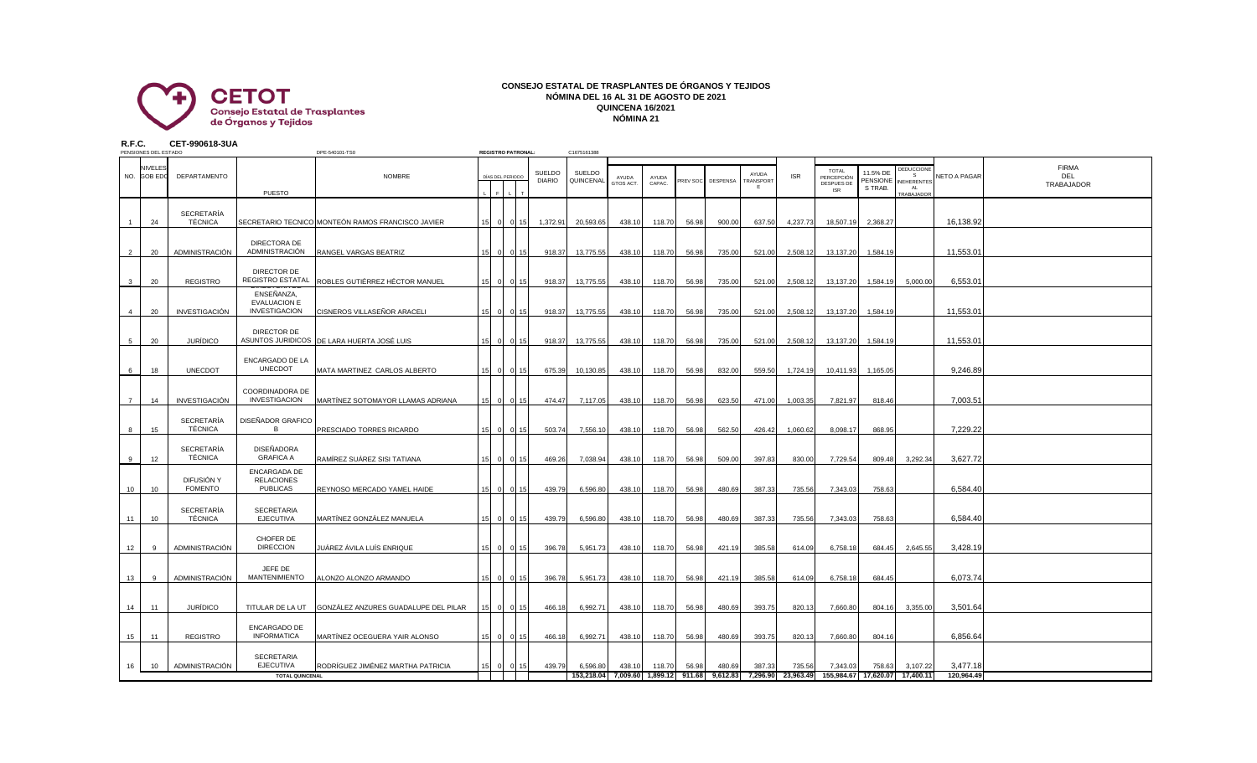

## **CONSEJO ESTATAL DE TRASPLANTES DE ÓRGANOS Y TEJIDOS NÓMINA DEL 16 AL 31 DE AGOSTO DE 2021 QUINCENA 16/2021 NÓMINA 21**

**R.F.C. CET-990618-3UA**

|                | PENSIONES DEL ESTADO                                           |                                     |                                                      | DPE-540101-TS0                                    |                 | <b>REGISTRO PATRONAL</b> |                 |                                | C1675161388         |           |                                               |                 |          |                    |                                  |                     |                                                        |                                        |                                                           |                        |                                   |
|----------------|----------------------------------------------------------------|-------------------------------------|------------------------------------------------------|---------------------------------------------------|-----------------|--------------------------|-----------------|--------------------------------|---------------------|-----------|-----------------------------------------------|-----------------|----------|--------------------|----------------------------------|---------------------|--------------------------------------------------------|----------------------------------------|-----------------------------------------------------------|------------------------|-----------------------------------|
|                | <b>NIVELES</b><br>DEPARTAMENTO<br>NO. GOB EDO<br><b>PUESTO</b> |                                     |                                                      | NOMBRE                                            |                 | DÍAS DEL PERIODO         |                 | <b>SUELDO</b><br><b>DIARIO</b> | SUELDO<br>QUINCENAL |           | AYUDA<br>GTOS ACT.                            | AYUDA<br>CAPAC. | PREV SOC | <b>DESPENSA</b>    | AYUDA<br><b>FRANSPORT</b><br>- F | <b>ISR</b>          | <b>TOTAL</b><br>PERCEPCIÓN<br>DESPUES DE<br><b>ISR</b> | 11.5% DE<br><b>PENSIONE</b><br>S TRAB. | <b>EDUCCION</b><br>NEHERENTES<br>AL.<br><b>FRABAJADOR</b> | <b>NETO A PAGAR</b>    | <b>FIRMA</b><br>DEL<br>TRABAJADOR |
|                | 24                                                             | SECRETARÍA<br>TÉCNICA               |                                                      | SECRETARIO TECNICO MONTEÓN RAMOS FRANCISCO JAVIER | 15              | $\overline{0}$           | $0$ 15          | 1,372.91                       |                     | 20,593.65 | 438.10                                        | 118.70          | 56.98    | 900.00             | 637.50                           | 4,237.73            | 18,507.19                                              | 2,368.27                               |                                                           | 16,138.92              |                                   |
| $\overline{2}$ | 20                                                             | ADMINISTRACIÓN                      | DIRECTORA DE<br>ADMINISTRACIÓN                       | RANGEL VARGAS BEATRIZ                             | 15              |                          | $0$ 0 15        | 918.37                         |                     | 13,775.55 | 438.10                                        | 118.70          | 56.98    | 735.00             | 521.00                           | 2,508.12            | 13,137.20                                              | 1,584.19                               |                                                           | 11,553.01              |                                   |
| $\mathbf{3}$   | 20                                                             | <b>REGISTRO</b>                     | DIRECTOR DE<br>REGISTRO ESTATAL                      | ROBLES GUTIÉRREZ HÉCTOR MANUEL                    | 15              |                          | 0 0 15          | 918.37                         |                     | 13,775.55 | 438.10                                        | 118.70          | 56.98    | 735.00             | 521.00                           | 2,508.12            | 13,137.20                                              | 1,584.19                               | 5,000.00                                                  | 6,553.01               |                                   |
|                | 20                                                             | <b>INVESTIGACIÓN</b>                | ENSEÑANZA,<br><b>EVALUACION E</b><br>INVESTIGACION   | CISNEROS VILLASEÑOR ARACELI                       |                 | $\Omega$                 | $\overline{0}$  | 15<br>918.37                   |                     | 13,775.55 | 438.10                                        | 118.70          | 56.98    | 735.00             | 521.00                           | 2,508.12            | 13,137.20                                              | 1,584.19                               |                                                           | 11,553.01              |                                   |
| 5              | 20                                                             | <b>JURÍDICO</b>                     | DIRECTOR DE                                          | ASUNTOS JURIDICOS DE LARA HUERTA JOSÉ LUIS        | 15              |                          | $0 \mid 15$     | 918.37                         |                     | 13,775.55 | 438.10                                        | 118.70          | 56.98    | 735.00             | 521.00                           | 2,508.12            | 13,137.20                                              | 1,584.19                               |                                                           | 11,553.01              |                                   |
| 6              | 18                                                             | <b>UNECDOT</b>                      | ENCARGADO DE LA<br><b>UNECDOT</b>                    | MATA MARTINEZ CARLOS ALBERTO                      |                 | $\overline{0}$           | 0 15            | 675.39                         |                     | 10,130.85 | 438.10                                        | 118.70          | 56.98    | 832.00             | 559.50                           | 1,724.19            | 10,411.93                                              | 1,165.05                               |                                                           | 9,246.89               |                                   |
| $\overline{7}$ | 14                                                             | <b>INVESTIGACIÓN</b>                | COORDINADORA DE<br><b>INVESTIGACION</b>              | MARTÍNEZ SOTOMAYOR LLAMAS ADRIANA                 | 15 <sub>1</sub> | $\Omega$                 | 0 15            | 474.47                         |                     | 7,117.05  | 438.10                                        | 118.70          | 56.98    | 623.50             | 471.00                           | 1,003.35            | 7,821.97                                               | 818.46                                 |                                                           | 7,003.51               |                                   |
| 8              | 15                                                             | <b>SECRETARÍA</b><br>TÉCNICA        | DISEÑADOR GRAFICO<br>B                               | PRESCIADO TORRES RICARDO                          |                 | $\Omega$                 | 0 15            | 503.74                         |                     | 7,556.10  | 438.10                                        | 118.70          | 56.98    | 562.50             | 426.42                           | 1,060.62            | 8,098.17                                               | 868.95                                 |                                                           | 7,229.22               |                                   |
|                | 12                                                             | SECRETARÍA<br>TÉCNICA               | <b>DISEÑADORA</b><br><b>GRAFICA A</b>                | RAMÍREZ SUÁREZ SISI TATIANA                       |                 | $\Omega$                 | 0 <sub>15</sub> | 469.26                         |                     | 7,038.94  | 438.10                                        | 118.70          | 56.98    | 509.00             | 397.83                           | 830.00              | 7,729.54                                               | 809.48                                 | 3,292.34                                                  | 3,627.72               |                                   |
| 10             | 10                                                             | DIFUSIÓN Y<br><b>FOMENTO</b>        | ENCARGADA DE<br><b>RELACIONES</b><br><b>PUBLICAS</b> | REYNOSO MERCADO YAMEL HAIDE                       | 15 <sub>1</sub> | $\Omega$                 | $0$ 15          | 439.79                         |                     | 6,596.80  | 438.10                                        | 118.70          | 56.98    | 480.69             | 387.33                           | 735.56              | 7,343.03                                               | 758.63                                 |                                                           | 6,584.40               |                                   |
| 11             | 10                                                             | <b>SECRETARÍA</b><br><b>TÉCNICA</b> | <b>SECRETARIA</b><br><b>EJECUTIVA</b>                | MARTÍNEZ GONZÁLEZ MANUELA                         |                 | $\Omega$                 | 0.15            | 439.79                         |                     | 6,596.80  | 438.10                                        | 118.70          | 56.98    | 480.69             | 387.33                           | 735.56              | 7,343.03                                               | 758.63                                 |                                                           | 6,584.40               |                                   |
| 12             | -9                                                             | ADMINISTRACIÓN                      | CHOFER DE<br><b>DIRECCION</b>                        | JUÁREZ ÁVILA LUÍS ENRIQUE                         | 15              | $\overline{0}$           | 0.15            | 396.78                         |                     | 5,951.73  | 438.10                                        | 118.70          | 56.98    | 421.19             | 385.58                           | 614.09              | 6,758.18                                               | 684.45                                 | 2,645.55                                                  | 3,428.19               |                                   |
| 13             | -9                                                             | ADMINISTRACIÓN                      | JEFE DE<br>MANTENIMIENTO                             | ALONZO ALONZO ARMANDO                             | 1F              | $\Omega$                 | 0.15            | 396.78                         |                     | 5,951.73  | 438.10                                        | 118.70          | 56.98    | 421.19             | 385.58                           | 614.09              | 6,758.18                                               | 684.45                                 |                                                           | 6,073.74               |                                   |
| 14             | 11                                                             | <b>JURÍDICO</b>                     | TITULAR DE LA UT                                     | GONZÁLEZ ANZURES GUADALUPE DEL PILAR              |                 | - 01                     | $0$ 15          | 466.18                         |                     | 6,992.71  | 438.10                                        | 118.70          | 56.98    | 480.69             | 393.75                           | 820.13              | 7,660.80                                               | 804.16                                 | 3,355.00                                                  | 3,501.64               |                                   |
| 15             | 11                                                             | <b>REGISTRO</b>                     | <b>ENCARGADO DE</b><br><b>INFORMATICA</b>            | MARTÍNEZ OCEGUERA YAIR ALONSO                     | 15              | $\overline{\mathbf{0}}$  | 0 15            | 466.18                         |                     | 6,992.71  | 438.10                                        | 118.70          | 56.98    | 480.69             | 393.75                           | 820.13              | 7,660.80                                               | 804.16                                 |                                                           | 6,856.64               |                                   |
| 16             | 10                                                             | ADMINISTRACIÓN                      | <b>SECRETARIA</b><br><b>EJECUTIVA</b>                | RODRÍGUEZ JIMÉNEZ MARTHA PATRICIA                 | 15              | $\overline{0}$           | 0.15            | 439.79                         |                     | 6,596.80  | 438.10<br>153,218.04 7,009.60 1,899.12 911.68 | 118.70          | 56.98    | 480.69<br>9,612.83 | 387.33<br>7,296.90               | 735.56<br>23,963.49 | 7,343.03                                               | 758.63<br>155,984.67 17,620.07         | 3,107.22<br>17,400.11                                     | 3,477.18<br>120,964.49 |                                   |
|                |                                                                | <b>TOTAL QUINCENAL</b>              |                                                      |                                                   |                 |                          |                 |                                |                     |           |                                               |                 |          |                    |                                  |                     |                                                        |                                        |                                                           |                        |                                   |